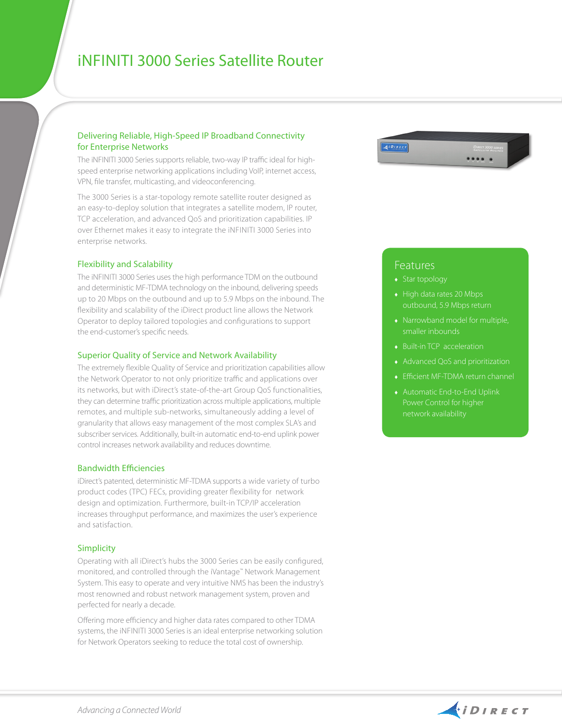# iNfiniti 3000 Series Satellite Router

### Delivering Reliable, High-Speed IP Broadband Connectivity for Enterprise Networks

The iNFINITI 3000 Series supports reliable, two-way IP traffic ideal for highspeed enterprise networking applications including VoIP, internet access, VPN, file transfer, multicasting, and videoconferencing.

The 3000 Series is a star-topology remote satellite router designed as an easy-to-deploy solution that integrates a satellite modem, IP router, TCP acceleration, and advanced QoS and prioritization capabilities. IP over Ethernet makes it easy to integrate the iNFINITI 3000 Series into enterprise networks.

#### Flexibility and Scalability

The INFINITI 3000 Series uses the high performance TDM on the outbound and deterministic MF-TDMA technology on the inbound, delivering speeds up to 20 Mbps on the outbound and up to 5.9 Mbps on the inbound. The flexibility and scalability of the iDirect product line allows the Network Operator to deploy tailored topologies and configurations to support the end-customer's specific needs.

#### Superior Quality of Service and Network Availability

The extremely flexible Quality of Service and prioritization capabilities allow the Network Operator to not only prioritize traffic and applications over its networks, but with iDirect's state-of-the-art Group QoS functionalities, they can determine traffic prioritization across multiple applications, multiple remotes, and multiple sub-networks, simultaneously adding a level of granularity that allows easy management of the most complex SLA's and subscriber services. Additionally, built-in automatic end-to-end uplink power control increases network availability and reduces downtime.

#### Bandwidth Efficiencies

iDirect's patented, deterministic MF-TDMA supports a wide variety of turbo product codes (TPC) FECs, providing greater flexibility for network design and optimization. Furthermore, built-in TCP/IP acceleration increases throughput performance, and maximizes the user's experience and satisfaction.

#### Simplicity

Operating with all iDirect's hubs the 3000 Series can be easily configured, monitored, and controlled through the iVantage™ Network Management System. This easy to operate and very intuitive NMS has been the industry's most renowned and robust network management system, proven and perfected for nearly a decade.

Offering more efficiency and higher data rates compared to other TDMA systems, the iNFINITI 3000 Series is an ideal enterprise networking solution for Network Operators seeking to reduce the total cost of ownership.



## **Features**

- Star topology
- ♦ High data rates 20 Mbps outbound, 5.9 Mbps return
- ♦ Narrowband model for multiple, smaller inbounds
- ♦ Built-in TCP acceleration
- ♦ Advanced QoS and prioritization
- ♦ Efficient MF-TDMA return channel
- ♦ Automatic End-to-End Uplink Power Control for higher